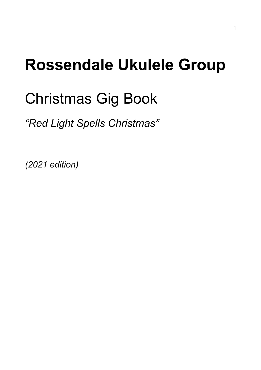# **Rossendale Ukulele Group**

# Christmas Gig Book

*"Red Light Spells Christmas"*

*(2021 edition)*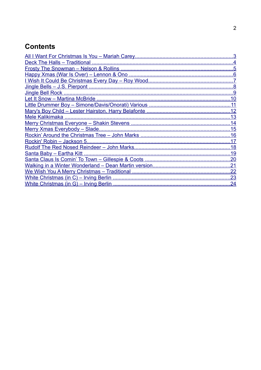# **Contents**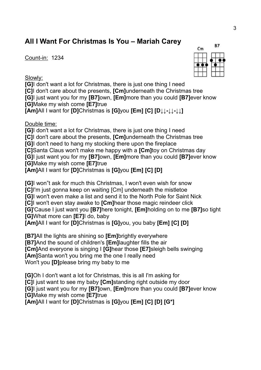# <span id="page-2-0"></span>**All I Want For Christmas Is You – Mariah Carey**

Count-in: 1234

Slowly:

**[G]**I don't want a lot for Christmas, there is just one thing I need **[C]**I don't care about the presents, **[Cm]**underneath the Christmas tree **[G]**I just want you for my **[B7]**own, **[Em]**more than you could **[B7]**ever know **[G]**Make my wish come **[E7]**true

**[Am]**All I want for **[D]**Christmas is **[G]**you **[Em] [C] [D↓↓-↓↓-↓↓]**

Double time:

**[G]**I don't want a lot for Christmas, there is just one thing I need

**[C]**I don't care about the presents, **[Cm]**underneath the Christmas tree

**[G]**I don't need to hang my stocking there upon the fireplace

**[C]**Santa Claus won't make me happy with a **[Cm]**toy on Christmas day

**[G]**I just want you for my **[B7]**own, **[Em]**more than you could **[B7]**ever know **[G]**Make my wish come **[E7]**true

**[Am]**All I want for **[D]**Christmas is **[G]**you **[Em] [C] [D]**

**[G]**I won"t ask for much this Christmas, I won't even wish for snow

**[C]**I'm just gonna keep on waiting [Cm] underneath the mistletoe

**[G]**I won't even make a list and send it to the North Pole for Saint Nick

**[C]**I won't even stay awake to **[Cm]**hear those magic reindeer click

**[G]**'Cause I just want you **[B7]**here tonight, **[Em]**holding on to me **[B7]**so tight **[G]**What more can **[E7]**I do, baby

**[Am]**All I want for **[D]**Christmas is **[G]**you, you baby **[Em] [C] [D]**

**[B7]**All the lights are shining so **[Em]**brightly everywhere **[B7]**And the sound of children's **[Em]**laughter fills the air **[Cm]**And everyone is singing I **[G]**hear those **[E7]**sleigh bells swinging **[Am]**Santa won't you bring me the one I really need Won't you **[D]**please bring my baby to me

**[G]**Oh I don't want a lot for Christmas, this is all I'm asking for **[C]**I just want to see my baby **[Cm]**standing right outside my door **[G]**I just want you for my **[B7]**own, **[Em]**more than you could **[B7]**ever know **[G]**Make my wish come **[E7]**true

**[Am]**All I want for **[D]**Christmas is **[G]**you **[Em] [C] [D] [G\*]**

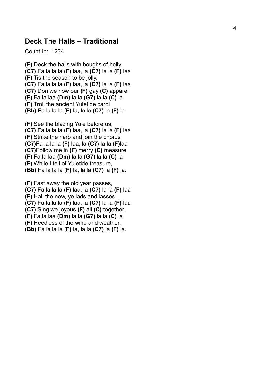#### <span id="page-3-0"></span>**Deck The Halls – Traditional**

Count-in: 1234

**(F)** Deck the halls with boughs of holly **(C7)** Fa la la la **(F)** laa, la **(C7)** la la **(F)** laa **(F)** Tis the season to be jolly, **(C7)** Fa la la la **(F)** laa, la **(C7)** la la **(F)** laa **(C7)** Don we now our **(F)** gay **(C)** apparel **(F)** Fa la laa **(Dm)** la la **(G7)** la la **(C)** la **(F)** Troll the ancient Yuletide carol **(Bb)** Fa la la la **(F)** la, la la **(C7)** la **(F)** la.

**(F)** See the blazing Yule before us, **(C7)** Fa la la la **(F)** laa, la **(C7)** la la **(F)** laa **(F)** Strike the harp and join the chorus **(C7)**Fa la la la **(F)** laa, la **(C7)** la la **(F)**laa **(C7)**Follow me in **(F)** merry **(C)** measure **(F)** Fa la laa **(Dm)** la la **(G7)** la la **(C)** la **(F)** While I tell of Yuletide treasure, **(Bb)** Fa la la la **(F)** la, la la **(C7)** la **(F)** la.

**(F)** Fast away the old year passes, **(C7)** Fa la la la **(F)** laa, la **(C7)** la la **(F)** laa **(F)** Hail the new, ye lads and lasses **(C7)** Fa la la la **(F)** laa, la **(C7)** la la **(F)** laa **(C7)** Sing we joyous **(F)** all **(C)** together, **(F)** Fa la laa **(Dm)** la la **(G7)** la la **(C)** la **(F)** Heedless of the wind and weather, **(Bb)** Fa la la la **(F)** la, la la **(C7)** la **(F)** la.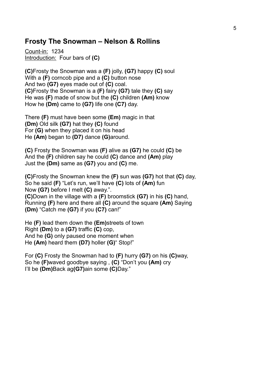### <span id="page-4-0"></span>**Frosty The Snowman – Nelson & Rollins**

Count-in: 1234 Introduction: Four bars of **(C)**

**(C)**Frosty the Snowman was a **(F)** jolly, **(G7)** happy **(C)** soul With a **(F)** corncob pipe and a **(C)** button nose And two **(G7)** eyes made out of **(C)** coal. **(C)**Frosty the Snowman is a **(F)** fairy **(G7)** tale they **(C)** say He was **(F)** made of snow but the **(C)** children **(Am)** know How he **(Dm)** came to **(G7)** life one **(C7)** day.

There **(F)** must have been some **(Em)** magic in that **(Dm)** Old silk **(G7)** hat they **(C)** found For **(G)** when they placed it on his head He **(Am)** began to **(D7)** dance **(G)**around.

**(C)** Frosty the Snowman was **(F)** alive as **(G7)** he could **(C)** be And the **(F)** children say he could **(C)** dance and **(Am)** play Just the **(Dm)** same as **(G7)** you and **(C)** me.

**(C)**Frosty the Snowman knew the **(F)** sun was **(G7)** hot that **(C)** day, So he said **(F)** "Let's run, we'll have **(C)** lots of **(Am)** fun Now **(G7)** before I melt **(C)** away.". **(C)**Down in the village with a **(F)** broomstick **(G7)** in his **(C)** hand, Running **(F)** here and there all **(C)** around the square **(Am)** Saying **(Dm)** "Catch me **(G7)** if you **(C7)** can!"

He **(F)** lead them down the **(Em)**streets of town Right **(Dm)** to a **(G7)** traffic **(C)** cop, And he **(G)** only paused one moment when He **(Am)** heard them **(D7)** holler **(G)**" Stop!"

For **(C)** Frosty the Snowman had to **(F)** hurry **(G7)** on his **(C)**way, So he **(F)**waved goodbye saying , **(C)** "Don't you **(Am)** cry I'll be **(Dm)**Back ag**(G7)**ain some **(C)**Day."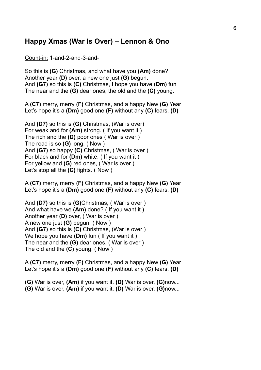## <span id="page-5-0"></span>**Happy Xmas (War Is Over) – Lennon & Ono**

Count-in: 1-and-2-and-3-and-

So this is **(G)** Christmas, and what have you **(Am)** done? Another year **(D)** over, a new one just **(G)** begun. And **(G7)** so this is **(C)** Christmas, I hope you have **(Dm)** fun The near and the **(G)** dear ones, the old and the **(C)** young.

A **(C7)** merry, merry **(F)** Christmas, and a happy New **(G)** Year Let's hope it's a **(Dm)** good one **(F)** without any **(C)** fears. **(D)** 

And **(D7)** so this is **(G)** Christmas, (War is over) For weak and for **(Am)** strong. ( If you want it ) The rich and the **(D)** poor ones ( War is over ) The road is so **(G)** long. ( Now ) And **(G7)** so happy **(C)** Christmas, ( War is over ) For black and for **(Dm)** white. ( If you want it ) For yellow and **(G)** red ones, ( War is over ) Let's stop all the **(C)** fights. ( Now )

A **(C7)** merry, merry **(F)** Christmas, and a happy New **(G)** Year Let's hope it's a **(Dm)** good one **(F)** without any **(C)** fears. **(D)** 

And **(D7)** so this is **(G)**Christmas, ( War is over ) And what have we **(Am)** done? ( If you want it ) Another year **(D)** over, ( War is over ) A new one just **(G)** begun. ( Now ) And **(G7)** so this is **(C)** Christmas, (War is over ) We hope you have **(Dm)** fun ( If you want it ) The near and the **(G)** dear ones, ( War is over ) The old and the **(C)** young. ( Now )

A **(C7)** merry, merry **(F)** Christmas, and a happy New **(G)** Year Let's hope it's a **(Dm)** good one **(F)** without any **(C)** fears. **(D)** 

**(G)** War is over, **(Am)** if you want it. **(D)** War is over, **(G)**now... **(G)** War is over, **(Am)** if you want it. **(D)** War is over, **(G)**now...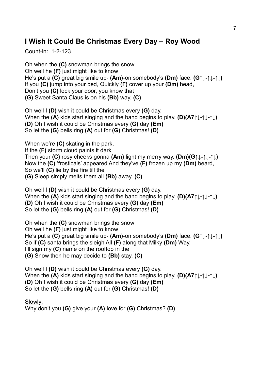## <span id="page-6-0"></span>**I Wish It Could Be Christmas Every Day – Roy Wood**

Count-in: 1-2-123

Oh when the **(C)** snowman brings the snow Oh well he **(F)** just might like to know He's put a **(C)** great big smile up- **(Am)**-on somebody's **(Dm)** face. **(G↑↓-↑↓-↑↓)**  If you **(C)** jump into your bed, Quickly **(F)** cover up your **(Dm)** head, Don't you **(C)** lock your door, you know that **(G)** Sweet Santa Claus is on his **(Bb)** way. **(C)** 

Oh well I **(D)** wish it could be Christmas every **(G)** day. When the **(A)** kids start singing and the band begins to play. **(D)(A7↑↓-↑↓-↑↓) (D)** Oh I wish it could be Christmas every **(G)** day **(Em)** So let the **(G)** bells ring **(A)** out for **(G)** Christmas! **(D)**

When we're **(C)** skating in the park, If the **(F)** storm cloud paints it dark Then your **(C)** rosy cheeks gonna **(Am)** light my merry way. **(Dm)(G↑↓-↑↓-↑↓)**  Now the **(C)** 'frosticals' appeared And they've **(F)** frozen up my **(Dm)** beard, So we'll **(C)** lie by the fire till the **(G)** Sleep simply melts them all **(Bb)** away. **(C)** 

Oh well I **(D)** wish it could be Christmas every **(G)** day. When the **(A)** kids start singing and the band begins to play. **(D)(A7↑↓-↑↓-↑↓) (D)** Oh I wish it could be Christmas every **(G)** day **(Em)** So let the **(G)** bells ring **(A)** out for **(G)** Christmas! **(D)** 

Oh when the **(C)** snowman brings the snow Oh well he **(F)** just might like to know He's put a **(C)** great big smile up- **(Am)**-on somebody's **(Dm)** face. **(G↑↓-↑↓-↑↓)**  So if **(C)** santa brings the sleigh All **(F)** along that Milky **(Dm)** Way, I'll sign my **(C)** name on the rooftop in the **(G)** Snow then he may decide to **(Bb)** stay. **(C)** 

Oh well I **(D)** wish it could be Christmas every **(G)** day. When the **(A)** kids start singing and the band begins to play. **(D)(A7↑↓-↑↓-↑↓) (D)** Oh I wish it could be Christmas every **(G)** day **(Em)** So let the **(G)** bells ring **(A)** out for **(G)** Christmas! **(D)**

Slowly:

Why don't you **(G)** give your **(A)** love for **(G)** Christmas? **(D)**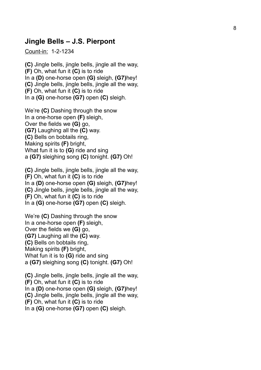### <span id="page-7-0"></span>**Jingle Bells – J.S. Pierpont**

Count-in: 1-2-1234

**(C)** Jingle bells, jingle bells, jingle all the way, **(F)** Oh, what fun it **(C)** is to ride In a **(D)** one-horse open **(G)** sleigh, **(G7)**hey! **(C)** Jingle bells, jingle bells, jingle all the way, **(F)** Oh, what fun it **(C)** is to ride In a **(G)** one-horse **(G7)** open **(C)** sleigh.

We're **(C)** Dashing through the snow In a one-horse open **(F)** sleigh, Over the fields we **(G)** go, **(G7)** Laughing all the **(C)** way. **(C)** Bells on bobtails ring, Making spirits **(F)** bright, What fun it is to **(G)** ride and sing a **(G7)** sleighing song **(C)** tonight. **(G7)** Oh!

**(C)** Jingle bells, jingle bells, jingle all the way, **(F)** Oh, what fun it **(C)** is to ride In a **(D)** one-horse open **(G)** sleigh, **(G7)**hey! **(C)** Jingle bells, jingle bells, jingle all the way, **(F)** Oh, what fun it **(C)** is to ride In a **(G)** one-horse **(G7)** open **(C)** sleigh.

We're **(C)** Dashing through the snow In a one-horse open **(F)** sleigh, Over the fields we **(G)** go, **(G7)** Laughing all the **(C)** way. **(C)** Bells on bobtails ring, Making spirits **(F)** bright, What fun it is to **(G)** ride and sing a **(G7)** sleighing song **(C)** tonight. **(G7)** Oh!

**(C)** Jingle bells, jingle bells, jingle all the way, **(F)** Oh, what fun it **(C)** is to ride In a **(D)** one-horse open **(G)** sleigh, **(G7)**hey! **(C)** Jingle bells, jingle bells, jingle all the way, **(F)** Oh, what fun it **(C)** is to ride In a **(G)** one-horse **(G7)** open **(C)** sleigh.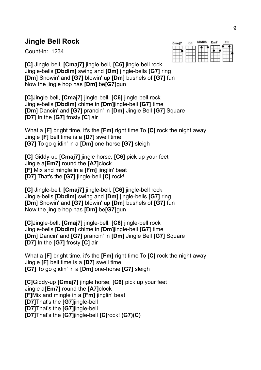# <span id="page-8-0"></span>**Jingle Bell Rock**

Count-in: 1234

| Cmaj7 | C <sub>6</sub> | <b>Dbdim</b> | Em7 | Fm |  |
|-------|----------------|--------------|-----|----|--|
|       |                |              |     |    |  |

**[C]** Jingle-bell, **[Cmaj7]** jingle-bell, **[C6]** jingle-bell rock Jingle-bells **[Dbdim]** swing and **[Dm]** jingle-bells **[G7]** ring **[Dm]** Snowin' and **[G7]** blowin' up **[Dm]** bushels of **[G7]** fun Now the jingle hop has **[Dm]** be**[G7]**gun

**[C]**Jingle-bell, **[Cmaj7]** jingle-bell, **[C6]** jingle-bell rock Jingle-bells **[Dbdim]** chime in **[Dm]**jingle-bell **[G7]** time **[Dm]** Dancin' and **[G7]** prancin' in **[Dm]** Jingle Bell **[G7]** Square **[D7]** In the **[G7]** frosty **[C]** air

What a **[F]** bright time, it's the **[Fm]** right time To **[C]** rock the night away Jingle **[F]** bell time is a **[D7]** swell time **[G7]** To go glidin' in a **[Dm]** one-horse **[G7]** sleigh

**[C]** Giddy-up **[Cmaj7]** jingle horse; **[C6]** pick up your feet Jingle a**[Em7]** round the **[A7]**clock **[F]** Mix and mingle in a **[Fm]** jinglin' beat **[D7]** That's the **[G7]** jingle-bell **[C]** rock!

**[C]** Jingle-bell, **[Cmaj7]** jingle-bell, **[C6]** jingle-bell rock Jingle-bells **[Dbdim]** swing and **[Dm]** jingle-bells **[G7]** ring **[Dm]** Snowin' and **[G7]** blowin' up **[Dm]** bushels of **[G7]** fun Now the jingle hop has **[Dm]** be**[G7]**gun

**[C]**Jingle-bell, **[Cmaj7]** jingle-bell, **[C6]** jingle-bell rock Jingle-bells **[Dbdim]** chime in **[Dm]**jingle-bell **[G7]** time **[Dm]** Dancin' and **[G7]** prancin' in **[Dm]** Jingle Bell **[G7]** Square **[D7]** In the **[G7]** frosty **[C]** air

What a **[F]** bright time, it's the **[Fm]** right time To **[C]** rock the night away Jingle **[F]** bell time is a **[D7]** swell time **[G7]** To go glidin' in a **[Dm]** one-horse **[G7]** sleigh

**[C]**Giddy-up **[Cmaj7]** jingle horse; **[C6]** pick up your feet Jingle a**[Em7]** round the **[A7]**clock **[F]**Mix and mingle in a **[Fm]** jinglin' beat **[D7]**That's the **[G7]**jingle-bell **[D7]**That's the **[G7]**jingle-bell **[D7]**That's the **[G7]**jingle-bell **[C]**rock! **(G7)(C)**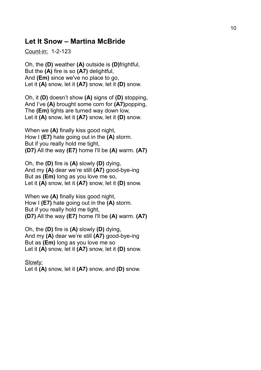## <span id="page-9-0"></span>**Let It Snow – Martina McBride**

Count-in: 1-2-123

Oh, the **(D)** weather **(A)** outside is **(D)**frightful, But the **(A)** fire is so **(A7)** delightful, And **(Em)** since we've no place to go, Let it **(A)** snow, let it **(A7)** snow, let it **(D)** snow.

Oh, it **(D)** doesn't show **(A)** signs of **(D)** stopping, And I've **(A)** brought some corn for **(A7)**popping, The **(Em)** lights are turned way down low, Let it **(A)** snow, let it **(A7)** snow, let it **(D)** snow.

When we **(A)** finally kiss good night, How I **(E7)** hate going out in the **(A)** storm. But if you really hold me tight, **(D7)** All the way **(E7)** home I'll be **(A)** warm. **(A7)**

Oh, the **(D)** fire is **(A)** slowly **(D)** dying, And my **(A)** dear we're still **(A7)** good-bye-ing But as **(Em)** long as you love me so, Let it **(A)** snow, let it **(A7)** snow, let it **(D)** snow.

When we **(A)** finally kiss good night, How I **(E7)** hate going out in the **(A)** storm. But if you really hold me tight, **(D7)** All the way **(E7)** home I'll be **(A)** warm. **(A7)**

Oh, the **(D)** fire is **(A)** slowly **(D)** dying, And my **(A)** dear we're still **(A7)** good-bye-ing But as **(Em)** long as you love me so Let it **(A)** snow, let it **(A7)** snow, let it **(D)** snow.

Slowly: Let it **(A)** snow, let it **(A7)** snow, and **(D)** snow.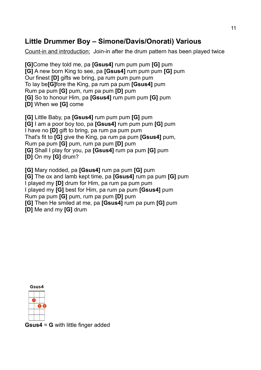## <span id="page-10-0"></span>**Little Drummer Boy – Simone/Davis/Onorati) Various**

Count-in and introduction: Join-in after the drum pattern has been played twice

**[G]**Come they told me, pa **[Gsus4]** rum pum pum **[G]** pum **[G]** A new born King to see, pa **[Gsus4]** rum pum pum **[G]** pum Our finest **[D]** gifts we bring, pa rum pum pum pum To lay be**[G]**fore the King, pa rum pa pum **[Gsus4]** pum Rum pa pum **[G]** pum, rum pa pum **[D]** pum **[G]** So to honour Him, pa **[Gsus4]** rum pum pum **[G]** pum **[D]** When we **[G]** come

**[G]** Little Baby, pa **[Gsus4]** rum pum pum **[G]** pum **[G]** I am a poor boy too, pa **[Gsus4]** rum pum pum **[G]** pum I have no **[D]** gift to bring, pa rum pa pum pum That's fit to **[G]** give the King, pa rum pa pum **[Gsus4]** pum, Rum pa pum **[G]** pum, rum pa pum **[D]** pum **[G]** Shall I play for you, pa **[Gsus4]** rum pa pum **[G]** pum **[D]** On my **[G]** drum?

**[G]** Mary nodded, pa **[Gsus4]** rum pa pum **[G]** pum **[G]** The ox and lamb kept time, pa **[Gsus4]** rum pa pum **[G]** pum I played my **[D]** drum for Him, pa rum pa pum pum I played my **[G]** best for Him, pa rum pa pum **[Gsus4]** pum Rum pa pum **[G]** pum, rum pa pum **[D]** pum **[G]** Then He smiled at me, pa **[Gsus4]** rum pa pum **[G]** pum **[D]** Me and my **[G]** drum



**Gsus4** = **G** with little finger added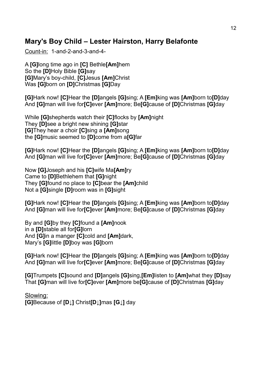## <span id="page-11-0"></span>**Mary's Boy Child – Lester Hairston, Harry Belafonte**

Count-in: 1-and-2-and-3-and-4-

A **[G]**long time ago in **[C]** Bethle**[Am]**hem So the **[D]**Holy Bible **[G]**say **[G]**Mary's boy-child, **[C]**Jesus **[Am]**Christ Was **[G]**born on **[D]**Christmas **[G]**Day

**[G]**Hark now! **[C]**Hear the **[D]**angels **[G]**sing; A **[Em]**king was **[Am]**born to**[D]**day And **[G]**man will live for**[C]**ever **[Am]**more; Be**[G]**cause of **[D]**Christmas **[G]**day

While **[G]**shepherds watch their **[C]**flocks by **[Am]**night They **[D]**see a bright new shining **[G]**star **[G]**They hear a choir **[C]**sing a **[Am]**song the **[G]**music seemed to **[D]**come from a**[G]**far

**[G]**Hark now! **[C]**Hear the **[D]**angels **[G]**sing; A **[Em]**king was **[Am]**born to**[D]**day And **[G]**man will live for**[C]**ever **[Am]**more; Be**[G]**cause of **[D]**Christmas **[G]**day

Now **[G]**Joseph and his **[C]**wife Ma**[Am]**ry Came to **[D]**Bethlehem that **[G]**night They **[G]**found no place to **[C]**bear the **[Am]**child Not a **[G]**single **[D]**room was in **[G]**sight

**[G]**Hark now! **[C]**Hear the **[D]**angels **[G]**sing; A **[Em]**king was **[Am]**born to**[D]**day And **[G]**man will live for**[C]**ever **[Am]**more; Be**[G]**cause of **[D]**Christmas **[G]**day

By and **[G]**by they **[C]**found a **[Am]**nook in a **[D]**stable all for**[G]**lorn And **[G]**in a manger **[C]**cold and **[Am]**dark, Mary's **[G]**little **[D]**boy was **[G]**born

**[G]**Hark now! **[C]**Hear the **[D]**angels **[G]**sing; A **[Em]**king was **[Am]**born to**[D]**day And **[G]**man will live for**[C]**ever **[Am]**more; Be**[G]**cause of **[D]**Christmas **[G]**day

**[G]**Trumpets **[C]**sound and **[D]**angels **[G]**sing,**[Em]**listen to **[Am]**what they **[D]**say That **[G]**man will live for**[C]**ever **[Am]**more be**[G]**cause of **[D]**Christmas **[G]**day

Slowing: **[G]**Because of **[D↓]** Christ**[D↓]**mas **[G↓]** day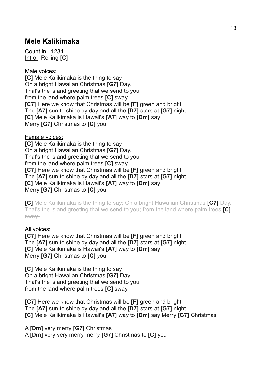## <span id="page-12-0"></span>**Mele Kalikimaka**

Count in: 1234 Intro: Rolling **[C]**

Male voices:

**[C]** Mele Kalikimaka is the thing to say On a bright Hawaiian Christmas **[G7]** Day. That's the island greeting that we send to you from the land where palm trees **[C]** sway **[C7]** Here we know that Christmas will be **[F]** green and bright The **[A7]** sun to shine by day and all the **[D7]** stars at **[G7]** night **[C]** Mele Kalikimaka is Hawaii's **[A7]** way to **[Dm]** say Merry **[G7]** Christmas to **[C]** you

Female voices:

**[C]** Mele Kalikimaka is the thing to say On a bright Hawaiian Christmas **[G7]** Day. That's the island greeting that we send to you from the land where palm trees **[C]** sway **[C7]** Here we know that Christmas will be **[F]** green and bright The **[A7]** sun to shine by day and all the **[D7]** stars at **[G7]** night **[C]** Mele Kalikimaka is Hawaii's **[A7]** way to **[Dm]** say Merry **[G7]** Christmas to **[C]** you

**[C]** Mele Kalikimaka is the thing to say; On a bright Hawaiian Christmas **[G7]** Day. That's the island greeting that we send to you; from the land where palm trees **[C]**  sway

#### All voices:

**[C7]** Here we know that Christmas will be **[F]** green and bright The **[A7]** sun to shine by day and all the **[D7]** stars at **[G7]** night **[C]** Mele Kalikimaka is Hawaii's **[A7]** way to **[Dm]** say Merry **[G7]** Christmas to **[C]** you

**[C]** Mele Kalikimaka is the thing to say On a bright Hawaiian Christmas **[G7]** Day. That's the island greeting that we send to you from the land where palm trees **[C]** sway

**[C7]** Here we know that Christmas will be **[F]** green and bright The **[A7]** sun to shine by day and all the **[D7]** stars at **[G7]** night **[C]** Mele Kalikimaka is Hawaii's **[A7]** way to **[Dm]** say Merry **[G7]** Christmas

A **[Dm]** very merry **[G7]** Christmas A **[Dm]** very very merry merry **[G7]** Christmas to **[C]** you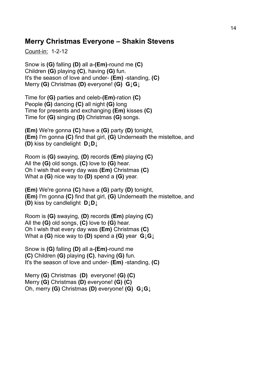## <span id="page-13-0"></span>**Merry Christmas Everyone – Shakin Stevens**

Count-in: 1-2-12

Snow is **(G)** falling **(D)** all a-**(Em)**-round me **(C)** Children **(G)** playing **(C)**, having **(G)** fun. It's the season of love and under- **(Em)** -standing, **(C)**  Merry **(G)** Christmas **(D)** everyone! **(G) G↓G↓**

Time for **(G)** parties and celeb-**(Em)**-ration **(C)**  People **(G)** dancing **(C)** all night **(G)** long Time for presents and exchanging **(Em)** kisses **(C)** Time for **(G)** singing **(D)** Christmas **(G)** songs.

**(Em)** We're gonna **(C)** have a **(G)** party **(D)** tonight, **(Em)** I'm gonna **(C)** find that girl, **(G)** Underneath the misteltoe, and **(D)** kiss by candlelight **D↓D↓**

Room is **(G)** swaying, **(D)** records **(Em)** playing **(C)** All the **(G)** old songs, **(C)** love to **(G)** hear. Oh I wish that every day was **(Em)** Christmas **(C)** What a **(G)** nice way to **(D)** spend a **(G)** year.

**(Em)** We're gonna **(C)** have a **(G)** party **(D)** tonight, **(Em)** I'm gonna **(C)** find that girl, **(G)** Underneath the misteltoe, and **(D)** kiss by candlelight **D↓D↓**

Room is **(G)** swaying, **(D)** records **(Em)** playing **(C)** All the **(G)** old songs, **(C)** love to **(G)** hear. Oh I wish that every day was **(Em)** Christmas **(C)** What a **(G)** nice way to **(D)** spend a **(G)** year **G↓G↓**

Snow is **(G)** falling **(D)** all a-**(Em)**-round me **(C)** Children **(G)** playing **(C)**, having **(G)** fun. It's the season of love and under- **(Em)** -standing, **(C)** 

Merry **(G)** Christmas **(D)** everyone! **(G) (C)**  Merry **(G)** Christmas **(D)** everyone! **(G) (C)**  Oh, merry **(G)** Christmas **(D)** everyone! **(G) G↓G↓**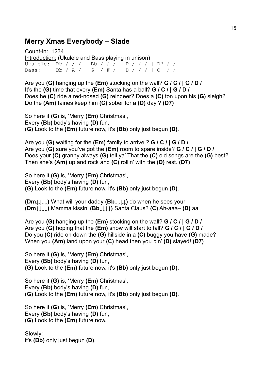## <span id="page-14-0"></span>**Merry Xmas Everybody – Slade**

Count-in: 1234 Introduction: (Ukulele and Bass playing in unison) Ukulele: Bb / / / | Bb / / / | D / / / | D7 / / Bass: Bb / A / | G / F / | D / / / | C / /

Are you **(G)** hanging up the **(Em)** stocking on the wall? **G / C / | G / D /** It's the **(G)** time that every **(Em)** Santa has a ball? **G / C / | G / D /** Does he **(C)** ride a red-nosed **(G)** reindeer? Does a **(C)** ton upon his **(G)** sleigh? Do the **(Am)** fairies keep him **(C)** sober for a **(D)** day ? **(D7)**

So here it **(G)** is, 'Merry **(Em)** Christmas', Every **(Bb)** body's having **(D)** fun, **(G)** Look to the **(Em)** future now, it's **(Bb)** only just begun **(D)**.

Are you **(G)** waiting for the **(Em)** family to arrive ? **G / C / | G / D /** Are you **(G)** sure you've got the **(Em)** room to spare inside? **G / C / | G / D /** Does your **(C)** granny always **(G)** tell ya' That the **(C)** old songs are the **(G)** best? Then she's **(Am)** up and rock and **(C)** rollin' with the **(D)** rest. **(D7)**

So here it **(G)** is, 'Merry **(Em)** Christmas', Every **(Bb)** body's having **(D)** fun, **(G)** Look to the **(Em)** future now, it's **(Bb)** only just begun **(D)**.

**(Dm↓↓↓↓)** What will your daddy **(Bb↓↓↓↓)** do when he sees your **(Dm↓↓↓↓)** Mamma kissin' **(Bb↓↓↓↓)** Santa Claus? **(C)** Ah-aaa– **(D)** aa

Are you **(G)** hanging up the **(Em)** stocking on the wall? **G / C / | G / D /** Are you **(G)** hoping that the **(Em)** snow will start to fall? **G / C / | G / D /** Do you **(C)** ride on down the **(G)** hillside in a **(C)** buggy you have **(G)** made? When you **(Am)** land upon your **(C)** head then you bin' **(D)** slayed! **(D7)**

So here it **(G)** is, 'Merry **(Em)** Christmas', Every **(Bb)** body's having **(D)** fun, **(G)** Look to the **(Em)** future now, it's **(Bb)** only just begun **(D)**.

So here it **(G)** is, 'Merry **(Em)** Christmas', Every **(Bb)** body's having **(D)** fun, **(G)** Look to the **(Em)** future now, it's **(Bb)** only just begun **(D)**.

So here it **(G)** is, 'Merry **(Em)** Christmas', Every **(Bb)** body's having **(D)** fun, **(G)** Look to the **(Em)** future now,

Slowly: it's **(Bb)** only just begun **(D)**.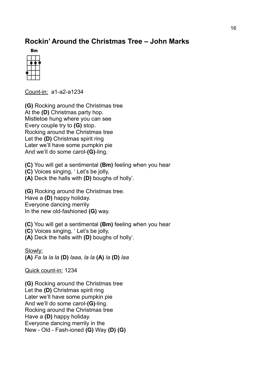# <span id="page-15-0"></span>**Rockin' Around the Christmas Tree – John Marks**

**WEBSTER** 

Count-in: a1-a2-a1234

**(G)** Rocking around the Christmas tree At the **(D)** Christmas party hop. Mistletoe hung where you can see Every couple try to **(G)** stop. Rocking around the Christmas tree Let the **(D)** Christmas spirit ring Later we'll have some pumpkin pie And we'll do some carol-**(G)**-ling.

**(C)** You will get a sentimental **(Bm)** feeling when you hear

- **(C)** Voices singing, ' Let's be jolly,
- **(A)** Deck the halls with **(D)** boughs of holly'.

**(G)** Rocking around the Christmas tree. Have a **(D)** happy holiday. Everyone dancing merrily In the new old-fashioned **(G)** way.

**(C)** You will get a sentimental **(Bm)** feeling when you hear

- **(C)** Voices singing, ' Let's be jolly,
- **(A)** Deck the halls with **(D)** boughs of holly'.

Slowly:

**(A)** *Fa la la la* **(D)** *laaa, la la* **(A)** *la* **(D)** *laa*

Quick count-in: 1234

**(G)** Rocking around the Christmas tree Let the **(D)** Christmas spirit ring Later we'll have some pumpkin pie And we'll do some carol-**(G)**-ling. Rocking around the Christmas tree Have a **(D)** happy holiday. Everyone dancing merrily in the New - Old - Fash-ioned **(G)** Way **(D) (G)**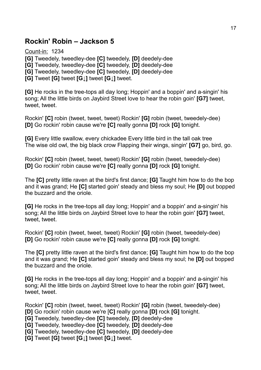## <span id="page-16-0"></span>**Rockin' Robin – Jackson 5**

Count-in: 1234 **[G]** Tweedely, tweedley-dee **[C]** tweedely, **[D]** deedely-dee **[G]** Tweedely, tweedley-dee **[C]** tweedely, **[D]** deedely-dee **[G]** Tweedely, tweedley-dee **[C]** tweedely, **[D]** deedely-dee **[G]** Tweet **[G]** tweet **[G↓]** tweet **[G↓]** tweet.

**[G]** He rocks in the tree-tops all day long; Hoppin' and a boppin' and a-singin' his song; All the little birds on Jaybird Street love to hear the robin goin' **[G7]** tweet, tweet, tweet.

Rockin' **[C]** robin (tweet, tweet, tweet) Rockin' **[G]** robin (tweet, tweedely-dee) **[D]** Go rockin' robin cause we're **[C]** really gonna **[D]** rock **[G]** tonight.

**[G]** Every little swallow, every chickadee Every little bird in the tall oak tree The wise old owl, the big black crow Flapping their wings, singin' **[G7]** go, bird, go.

Rockin' **[C]** robin (tweet, tweet, tweet) Rockin' **[G]** robin (tweet, tweedely-dee) **[D]** Go rockin' robin cause we're **[C]** really gonna **[D]** rock **[G]** tonight.

The **[C]** pretty little raven at the bird's first dance; **[G]** Taught him how to do the bop and it was grand; He **[C]** started goin' steady and bless my soul; He **[D]** out bopped the buzzard and the oriole.

**[G]** He rocks in the tree-tops all day long; Hoppin' and a boppin' and a-singin' his song; All the little birds on Jaybird Street love to hear the robin goin' **[G7]** tweet, tweet, tweet.

Rockin' **[C]** robin (tweet, tweet, tweet) Rockin' **[G]** robin (tweet, tweedely-dee) **[D]** Go rockin' robin cause we're **[C]** really gonna **[D]** rock **[G]** tonight.

The **[C]** pretty little raven at the bird's first dance; **[G]** Taught him how to do the bop and it was grand; He **[C]** started goin' steady and bless my soul; he **[D]** out bopped the buzzard and the oriole.

**[G]** He rocks in the tree-tops all day long; Hoppin' and a boppin' and a-singin' his song; All the little birds on Jaybird Street love to hear the robin goin' **[G7]** tweet, tweet, tweet.

Rockin' **[C]** robin (tweet, tweet, tweet) Rockin' **[G]** robin (tweet, tweedely-dee) **[D]** Go rockin' robin cause we're [**C]** really gonna **[D]** rock **[G]** tonight.

- **[G]** Tweedely, tweedley-dee **[C]** tweedely, **[D]** deedely-dee
- **[G]** Tweedely, tweedley-dee **[C]** tweedely, **[D]** deedely-dee
- **[G]** Tweedely, tweedley-dee **[C]** tweedely, **[D]** deedely-dee

**[G]** Tweet **[G]** tweet **[G↓]** tweet **[G↓]** tweet.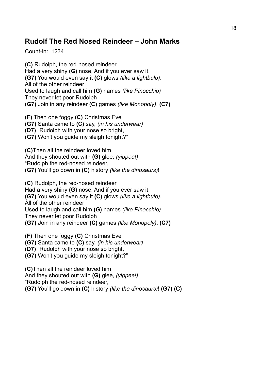## <span id="page-17-0"></span>**Rudolf The Red Nosed Reindeer – John Marks**

Count-in: 1234

**(C)** Rudolph, the red-nosed reindeer Had a very shiny **(G)** nose, And if you ever saw it, **(G7)** You would even say it **(C)** glows *(like a lightbulb)*. All of the other reindeer Used to laugh and call him **(G)** names *(like Pinocchio)* They never let poor Rudolph **(G7)** Join in any reindeer **(C)** games *(like Monopoly)*. **(C7)** 

**(F)** Then one foggy **(C)** Christmas Eve **(G7)** Santa came to **(C)** say, *(in his underwear)* **(D7)** "Rudolph with your nose so bright, **(G7)** Won't you guide my sleigh tonight?"

**(C)**Then all the reindeer loved him And they shouted out with **(G)** glee, *(yippee!)* "Rudolph the red-nosed reindeer, **(G7)** You'll go down in **(C)** history *(like the dinosaurs)*!

**(C)** Rudolph, the red-nosed reindeer Had a very shiny **(G)** nose, And if you ever saw it, **(G7)** You would even say it **(C)** glows *(like a lightbulb)*. All of the other reindeer Used to laugh and call him **(G)** names *(like Pinocchio)* They never let poor Rudolph **(G7) J**oin in any reindeer **(C)** games *(like Monopoly)*. **(C7)** 

**(F)** Then one foggy **(C)** Christmas Eve **(G7)** Santa came to **(C)** say, *(in his underwear)* **(D7)** "Rudolph with your nose so bright, **(G7)** Won't you guide my sleigh tonight?"

**(C)**Then all the reindeer loved him And they shouted out with **(G)** glee, *(yippee!)* "Rudolph the red-nosed reindeer, **(G7)** You'll go down in **(C)** history *(like the dinosaurs)*! **(G7) (C)**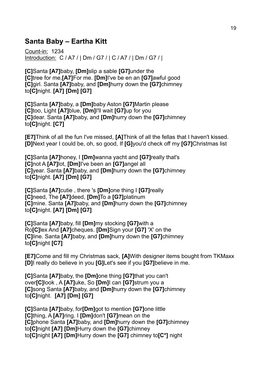## <span id="page-18-0"></span>**Santa Baby – Eartha Kitt**

Count-in: 1234 Introduction: C / A7 / | Dm / G7 / | C / A7 / | Dm / G7 / |

**[C]**Santa **[A7]**baby, **[Dm]**slip a sable **[G7]**under the **[C]**tree for me,**[A7]**For me. **[Dm]**I've be en an **[G7]**awful good **[C]**girl. Santa **[A7]**baby, and **[Dm]**hurry down the **[G7]**chimney to**[C]**night. **[A7] [Dm] [G7]**

**[C]**Santa **[A7]**baby, a **[Dm]**baby Aston **[G7]**Martin please **[C]**too, Light **[A7]**blue, **[Dm]**I'll wait **[G7]**up for you **[C]**dear. Santa **[A7]**baby, and **[Dm]**hurry down the **[G7]**chimney to**[C]**night. **[C7]**

**[E7]**Think of all the fun I've missed, **[A]**Think of all the fellas that I haven't kissed. **[D]**Next year I could be, oh, so good, If **[G]**you'd check off my **[G7]**Christmas list

**[C]**Santa **[A7]**honey, I **[Dm]**wanna yacht and **[G7]**really that's **[C]**not A **[A7]**lot, **[Dm]**I've been an **[G7]**angel all **[C]**year. Santa **[A7]**baby, and **[Dm]**hurry down the **[G7]**chimney to**[C]**night. **[A7] [Dm] [G7]** 

**[C]**Santa **[A7]**cutie , there 's **[Dm]**one thing I **[G7]**really **[C]**need, The **[A7]**deed, **[Dm]**To a **[G7]**platinum **[C]**mine. Santa **[A7]**baby, and **[Dm]**hurry down the **[G7]**chimney to**[C]**night. **[A7] [Dm] [G7]** 

**[C]**Santa **[A7]**baby, fill **[Dm]**my stocking **[G7]**with a Ro**[C]**lex And **[A7]**cheques. **[Dm]**Sign your **[G7]** 'X' on the **[C]**line. Santa **[A7]**baby, and **[Dm]**hurry down the **[G7]**chimney to**[C]**night **[C7]**

**[E7]**Come and fill my Christmas sack, **[A]**With designer items bought from TKMaxx **[D]**I really do believe in you **[G]**Let's see if you **[G7]**believe in me.

**[C]**Santa **[A7]**baby, the **[Dm]**one thing **[G7]**that you can't over**[C]**look , A **[A7]**uke, So **[Dm]**I can **[G7]**strum you a **[C]**song Santa **[A7]**baby, and **[Dm]**hurry down the **[G7]**chimney to**[C]**night. **[A7] [Dm] [G7]**

**[C]**Santa **[A7]**baby, for**[Dm]**got to mention **[G7]**one little **[C]**thing, A **[A7]**ring. I **[Dm]**don't **[G7]**mean on the **[C]**phone Santa **[A7]**baby, and **[Dm]**hurry down the **[G7]**chimney to**[C]**night **[A7] [Dm]**Hurry down the **[G7]**chimney to**[C]**night **[A7] [Dm]**Hurry down the **[G7]** chimney to**[C\*]** night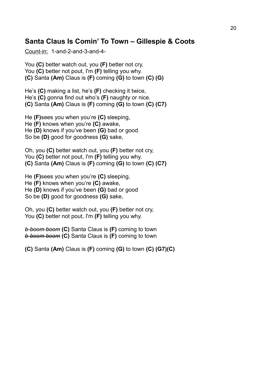## <span id="page-19-0"></span>**Santa Claus Is Comin' To Town – Gillespie & Coots**

Count-in: 1-and-2-and-3-and-4-

You **(C)** better watch out, you **(F)** better not cry, You **(C)** better not pout, I'm **(F)** telling you why. **(C)** Santa **(Am)** Claus is **(F)** coming **(G)** to town **(C) (G)** 

He's **(C)** making a list, he's **(F)** checking it twice, He's **(C)** gonna find out who's **(F)** naughty or nice. **(C)** Santa **(Am)** Claus is **(F)** coming **(G)** to town **(C) (C7)**

He **(F)**sees you when you're **(C)** sleeping, He **(F)** knows when you're **(C)** awake, He **(D)** knows if you've been **(G)** bad or good So be **(D)** good for goodness **(G)** sake,

Oh, you **(C)** better watch out, you **(F)** better not cry, You **(C)** better not pout, I'm **(F)** telling you why. **(C)** Santa **(Am)** Claus is **(F)** coming **(G)** to town **(C) (C7)**

He **(F)**sees you when you're **(C)** sleeping, He **(F)** knows when you're **(C)** awake, He **(D)** knows if you've been **(G)** bad or good So be **(D)** good for goodness **(G)** sake,

Oh, you **(C)** better watch out, you **(F)** better not cry, You **(C)** better not pout, I'm **(F)** telling you why.

*b-boom boom* **(C)** Santa Claus is **(F)** coming to town *b-boom boom* **(C)** Santa Claus is **(F)** coming to town

**(C)** Santa **(Am)** Claus is **(F)** coming **(G)** to town **(C) (G7)(C)**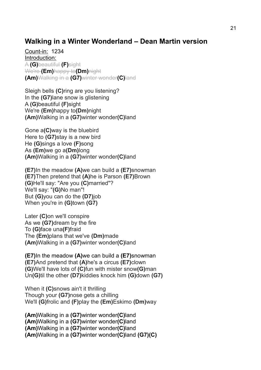## <span id="page-20-0"></span>**Walking in a Winter Wonderland – Dean Martin version**

Count-in: 1234 Introduction: A **(G)**beautiful **(F)**sight We're **(Em)**happy to**(Dm)**night **(Am)**Walking in a **(G7)**winter wonder**(C)**land

Sleigh bells **(C)**ring are you listening? In the **(G7)**lane snow is glistening A **(G)**beautiful **(F)**sight We're **(Em)**happy to**(Dm)**night **(Am)**Walking in a **(G7)**winter wonder**(C)**land

Gone a**(C)**way is the bluebird Here to **(G7)**stay is a new bird He **(G)**sings a love **(F)**song As **(Em)**we go a**(Dm)**long **(Am)**Walking in a **(G7)**winter wonder**(C)**land

**(E7)**In the meadow **(A)**we can build a **(E7)**snowman **(E7)**Then pretend that **(A)**he is Parson **(E7)**Brown **(G)**He'll say: "Are you **(C)**married"? We'll say: "**(G)**No man"! But **(G)**you can do the **(D7)**job When you're in **(G)**town **(G7)**

Later **(C)**on we'll conspire As we **(G7)**dream by the fire To **(G)**face una**(F)**fraid The **(Em)**plans that we've **(Dm)**made **(Am)**Walking in a **(G7)**winter wonder**(C)**land

**(E7)**In the meadow **(A)**we can build a **(E7)**snowman **(E7)**And pretend that **(A)**he's a circus **(E7)**clown **(G)**We'll have lots of **(C)**fun with mister snow**(G)**man Un**(G)**til the other **(D7)**kiddies knock him **(G)**down **(G7)**

When it **(C)**snows ain't it thrilling Though your **(G7)**nose gets a chilling We'll **(G)**frolic and **(F)**play the **(Em)**Eskimo **(Dm)**way

**(Am)**Walking in a **(G7)**winter wonder**(C)**land **(Am)**Walking in a **(G7)**winter wonder**(C)**land **(Am)**Walking in a **(G7)**winter wonder**(C)**land **(Am)**Walking in a **(G7)**winter wonder**(C)**land **(G7)(C)**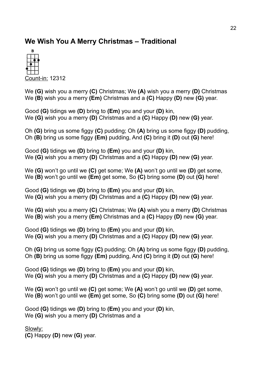# <span id="page-21-0"></span>**We Wish You A Merry Christmas – Traditional**



Count-in: 12312

We **(G)** wish you a merry **(C)** Christmas; We **(A)** wish you a merry **(D)** Christmas We **(B)** wish you a merry **(Em)** Christmas and a **(C)** Happy **(D)** new **(G)** year.

Good **(G)** tidings we **(D)** bring to **(Em)** you and your **(D)** kin, We **(G)** wish you a merry **(D)** Christmas and a **(C)** Happy **(D)** new **(G)** year.

Oh **(G)** bring us some figgy **(C)** pudding; Oh **(A)** bring us some figgy **(D)** pudding, Oh **(B)** bring us some figgy **(Em)** pudding, And **(C)** bring it **(D)** out **(G)** here!

Good **(G)** tidings we **(D)** bring to **(Em)** you and your **(D)** kin, We **(G)** wish you a merry **(D)** Christmas and a **(C)** Happy **(D)** new **(G)** year.

We **(G)** won't go until we **(C)** get some; We **(A)** won't go until we **(D)** get some, We **(B)** won't go until we **(Em)** get some, So **(C)** bring some **(D)** out **(G)** here!

Good **(G)** tidings we **(D)** bring to **(Em)** you and your **(D)** kin, We **(G)** wish you a merry **(D)** Christmas and a **(C)** Happy **(D)** new **(G)** year.

We **(G)** wish you a merry **(C)** Christmas; We **(A)** wish you a merry **(D)** Christmas We **(B)** wish you a merry **(Em)** Christmas and a **(C)** Happy **(D)** new **(G)** year.

Good **(G)** tidings we **(D)** bring to **(Em)** you and your **(D)** kin, We **(G)** wish you a merry **(D)** Christmas and a **(C)** Happy **(D)** new **(G)** year.

Oh **(G)** bring us some figgy **(C)** pudding; Oh **(A)** bring us some figgy **(D)** pudding, Oh **(B)** bring us some figgy **(Em)** pudding, And **(C)** bring it **(D)** out **(G)** here!

Good **(G)** tidings we **(D)** bring to **(Em)** you and your **(D)** kin, We **(G)** wish you a merry **(D)** Christmas and a **(C)** Happy **(D)** new **(G)** year.

We **(G)** won't go until we **(C)** get some; We **(A)** won't go until we **(D)** get some, We **(B)** won't go until we **(Em)** get some, So **(C)** bring some **(D)** out **(G)** here!

Good **(G)** tidings we **(D)** bring to **(Em)** you and your **(D)** kin, We **(G)** wish you a merry **(D)** Christmas and a

Slowly:

**(C)** Happy **(D)** new **(G)** year.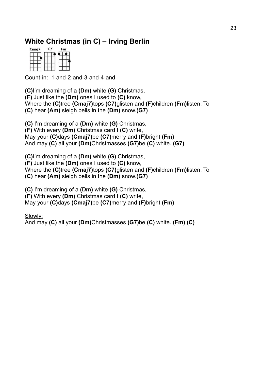# <span id="page-22-0"></span>**White Christmas (in C) – Irving Berlin**

| Cmaj7 | r. | Fm |
|-------|----|----|
|       |    |    |
|       |    |    |
|       |    |    |

Count-in: 1-and-2-and-3-and-4-and

**(C)**I'm dreaming of a **(Dm)** white **(G)** Christmas, **(F)** Just like the **(Dm)** ones I used to **(C)** know, Where the **(C)**tree **(Cmaj7)**tops **(C7)**glisten and **(F)**children **(Fm)**listen, To **(C)** hear **(Am)** sleigh bells in the **(Dm)** snow.**(G7)** 

**(C)** I'm dreaming of a **(Dm)** white **(G)** Christmas, **(F)** With every **(Dm)** Christmas card I **(C)** write, May your **(C)**days **(Cmaj7)**be **(C7)**merry and **(F)**bright **(Fm)**  And may **(C)** all your **(Dm)**Christmasses **(G7)**be **(C)** white. **(G7)** 

**(C)**I'm dreaming of a **(Dm)** white **(G)** Christmas,

**(F)** Just like the **(Dm)** ones I used to **(C)** know,

Where the **(C)**tree **(Cmaj7)**tops **(C7)**glisten and **(F)**children **(Fm)**listen, To

**(C)** hear **(Am)** sleigh bells in the **(Dm)** snow.**(G7)** 

**(C)** I'm dreaming of a **(Dm)** white **(G)** Christmas,

**(F)** With every **(Dm)** Christmas card I **(C)** write,

May your **(C)**days **(Cmaj7)**be **(C7)**merry and **(F)**bright **(Fm)** 

Slowly:

And may **(C)** all your **(Dm)**Christmasses **(G7)**be **(C)** white. **(Fm) (C)**